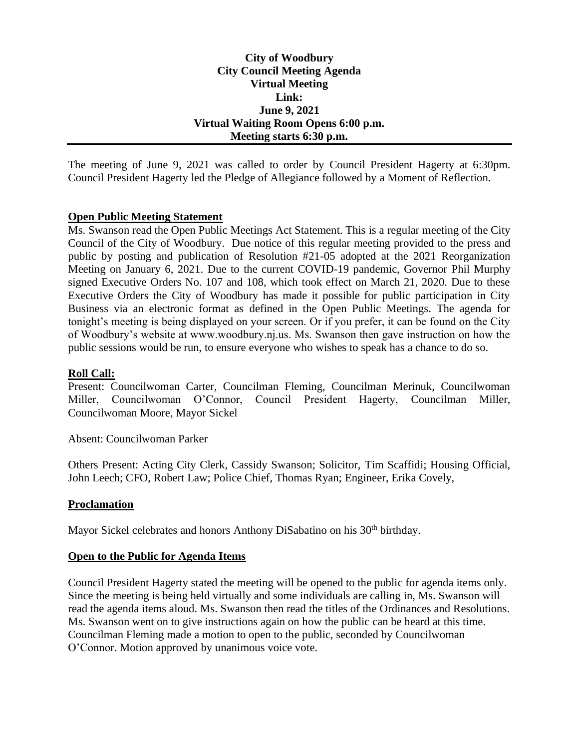## **City of Woodbury City Council Meeting Agenda Virtual Meeting Link: June 9, 2021 Virtual Waiting Room Opens 6:00 p.m. Meeting starts 6:30 p.m.**

The meeting of June 9, 2021 was called to order by Council President Hagerty at 6:30pm. Council President Hagerty led the Pledge of Allegiance followed by a Moment of Reflection.

### **Open Public Meeting Statement**

Ms. Swanson read the Open Public Meetings Act Statement. This is a regular meeting of the City Council of the City of Woodbury. Due notice of this regular meeting provided to the press and public by posting and publication of Resolution #21-05 adopted at the 2021 Reorganization Meeting on January 6, 2021. Due to the current COVID-19 pandemic, Governor Phil Murphy signed Executive Orders No. 107 and 108, which took effect on March 21, 2020. Due to these Executive Orders the City of Woodbury has made it possible for public participation in City Business via an electronic format as defined in the Open Public Meetings. The agenda for tonight's meeting is being displayed on your screen. Or if you prefer, it can be found on the City of Woodbury's website at www.woodbury.nj.us. Ms. Swanson then gave instruction on how the public sessions would be run, to ensure everyone who wishes to speak has a chance to do so.

## **Roll Call:**

Present: Councilwoman Carter, Councilman Fleming, Councilman Merinuk, Councilwoman Miller, Councilwoman O'Connor, Council President Hagerty, Councilman Miller, Councilwoman Moore, Mayor Sickel

Absent: Councilwoman Parker

Others Present: Acting City Clerk, Cassidy Swanson; Solicitor, Tim Scaffidi; Housing Official, John Leech; CFO, Robert Law; Police Chief, Thomas Ryan; Engineer, Erika Covely,

### **Proclamation**

Mayor Sickel celebrates and honors Anthony DiSabatino on his 30<sup>th</sup> birthday.

### **Open to the Public for Agenda Items**

Council President Hagerty stated the meeting will be opened to the public for agenda items only. Since the meeting is being held virtually and some individuals are calling in, Ms. Swanson will read the agenda items aloud. Ms. Swanson then read the titles of the Ordinances and Resolutions. Ms. Swanson went on to give instructions again on how the public can be heard at this time. Councilman Fleming made a motion to open to the public, seconded by Councilwoman O'Connor. Motion approved by unanimous voice vote.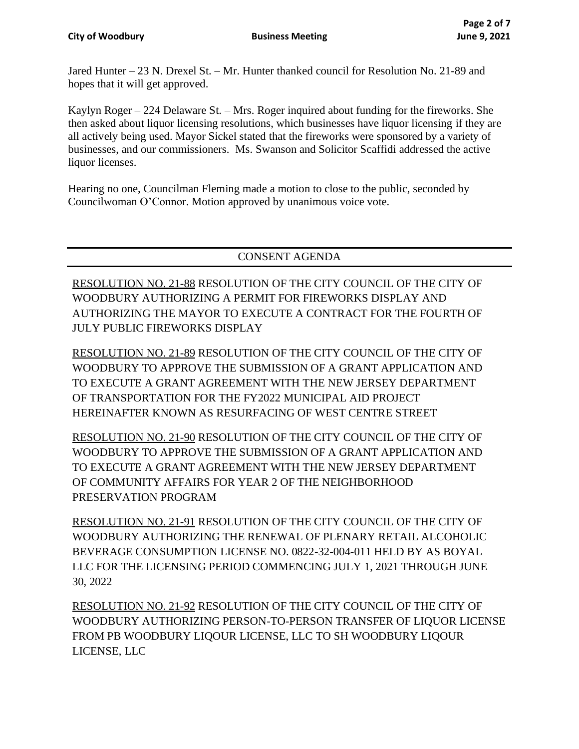Jared Hunter – 23 N. Drexel St. – Mr. Hunter thanked council for Resolution No. 21-89 and hopes that it will get approved.

Kaylyn Roger – 224 Delaware St. – Mrs. Roger inquired about funding for the fireworks. She then asked about liquor licensing resolutions, which businesses have liquor licensing if they are all actively being used. Mayor Sickel stated that the fireworks were sponsored by a variety of businesses, and our commissioners. Ms. Swanson and Solicitor Scaffidi addressed the active liquor licenses.

Hearing no one, Councilman Fleming made a motion to close to the public, seconded by Councilwoman O'Connor. Motion approved by unanimous voice vote.

# CONSENT AGENDA

RESOLUTION NO. 21-88 RESOLUTION OF THE CITY COUNCIL OF THE CITY OF WOODBURY AUTHORIZING A PERMIT FOR FIREWORKS DISPLAY AND AUTHORIZING THE MAYOR TO EXECUTE A CONTRACT FOR THE FOURTH OF JULY PUBLIC FIREWORKS DISPLAY

RESOLUTION NO. 21-89 RESOLUTION OF THE CITY COUNCIL OF THE CITY OF WOODBURY TO APPROVE THE SUBMISSION OF A GRANT APPLICATION AND TO EXECUTE A GRANT AGREEMENT WITH THE NEW JERSEY DEPARTMENT OF TRANSPORTATION FOR THE FY2022 MUNICIPAL AID PROJECT HEREINAFTER KNOWN AS RESURFACING OF WEST CENTRE STREET

RESOLUTION NO. 21-90 RESOLUTION OF THE CITY COUNCIL OF THE CITY OF WOODBURY TO APPROVE THE SUBMISSION OF A GRANT APPLICATION AND TO EXECUTE A GRANT AGREEMENT WITH THE NEW JERSEY DEPARTMENT OF COMMUNITY AFFAIRS FOR YEAR 2 OF THE NEIGHBORHOOD PRESERVATION PROGRAM

RESOLUTION NO. 21-91 RESOLUTION OF THE CITY COUNCIL OF THE CITY OF WOODBURY AUTHORIZING THE RENEWAL OF PLENARY RETAIL ALCOHOLIC BEVERAGE CONSUMPTION LICENSE NO. 0822-32-004-011 HELD BY AS BOYAL LLC FOR THE LICENSING PERIOD COMMENCING JULY 1, 2021 THROUGH JUNE 30, 2022

RESOLUTION NO. 21-92 RESOLUTION OF THE CITY COUNCIL OF THE CITY OF WOODBURY AUTHORIZING PERSON-TO-PERSON TRANSFER OF LIQUOR LICENSE FROM PB WOODBURY LIQOUR LICENSE, LLC TO SH WOODBURY LIQOUR LICENSE, LLC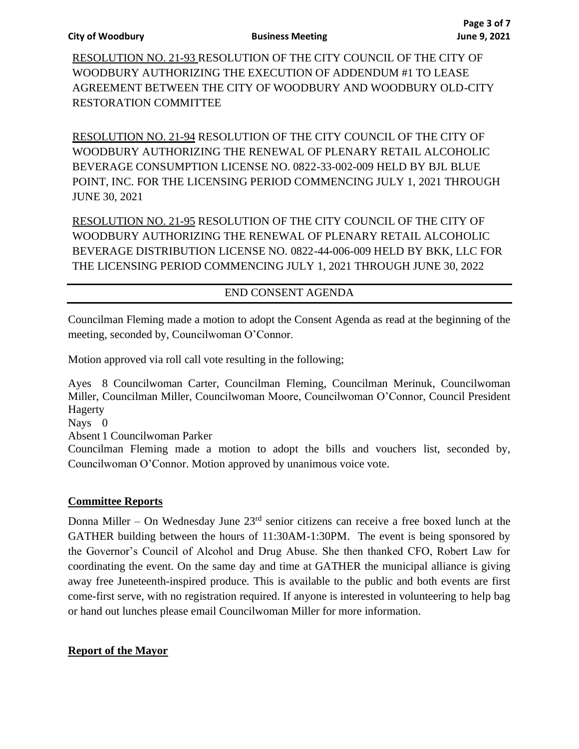RESOLUTION NO. 21-93 RESOLUTION OF THE CITY COUNCIL OF THE CITY OF WOODBURY AUTHORIZING THE EXECUTION OF ADDENDUM #1 TO LEASE AGREEMENT BETWEEN THE CITY OF WOODBURY AND WOODBURY OLD-CITY RESTORATION COMMITTEE

RESOLUTION NO. 21-94 RESOLUTION OF THE CITY COUNCIL OF THE CITY OF WOODBURY AUTHORIZING THE RENEWAL OF PLENARY RETAIL ALCOHOLIC BEVERAGE CONSUMPTION LICENSE NO. 0822-33-002-009 HELD BY BJL BLUE POINT, INC. FOR THE LICENSING PERIOD COMMENCING JULY 1, 2021 THROUGH JUNE 30, 2021

RESOLUTION NO. 21-95 RESOLUTION OF THE CITY COUNCIL OF THE CITY OF WOODBURY AUTHORIZING THE RENEWAL OF PLENARY RETAIL ALCOHOLIC BEVERAGE DISTRIBUTION LICENSE NO. 0822-44-006-009 HELD BY BKK, LLC FOR THE LICENSING PERIOD COMMENCING JULY 1, 2021 THROUGH JUNE 30, 2022

# END CONSENT AGENDA

Councilman Fleming made a motion to adopt the Consent Agenda as read at the beginning of the meeting, seconded by, Councilwoman O'Connor.

Motion approved via roll call vote resulting in the following;

Ayes 8 Councilwoman Carter, Councilman Fleming, Councilman Merinuk, Councilwoman Miller, Councilman Miller, Councilwoman Moore, Councilwoman O'Connor, Council President Hagerty

Nays 0

Absent 1 Councilwoman Parker

Councilman Fleming made a motion to adopt the bills and vouchers list, seconded by, Councilwoman O'Connor. Motion approved by unanimous voice vote.

## **Committee Reports**

Donna Miller – On Wednesday June 23rd senior citizens can receive a free boxed lunch at the GATHER building between the hours of 11:30AM-1:30PM. The event is being sponsored by the Governor's Council of Alcohol and Drug Abuse. She then thanked CFO, Robert Law for coordinating the event. On the same day and time at GATHER the municipal alliance is giving away free Juneteenth-inspired produce. This is available to the public and both events are first come-first serve, with no registration required. If anyone is interested in volunteering to help bag or hand out lunches please email Councilwoman Miller for more information.

## **Report of the Mayor**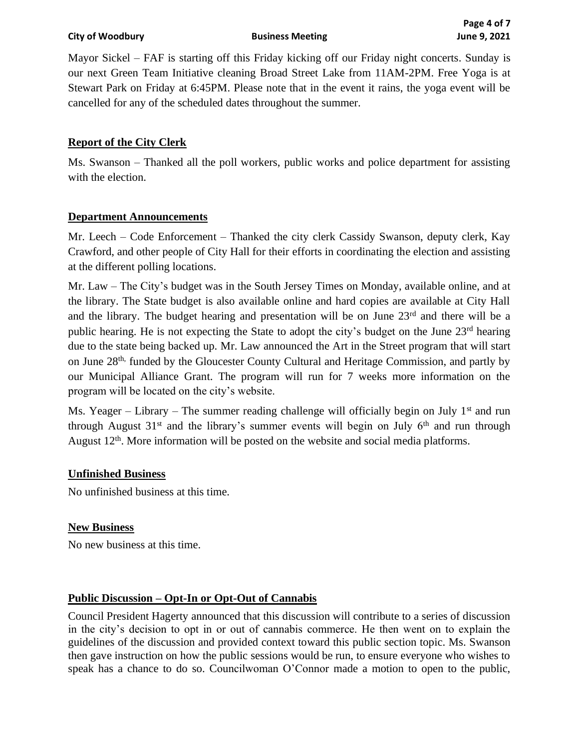**City of Woodbury Business Meeting June 9, 2021**

Mayor Sickel – FAF is starting off this Friday kicking off our Friday night concerts. Sunday is our next Green Team Initiative cleaning Broad Street Lake from 11AM-2PM. Free Yoga is at Stewart Park on Friday at 6:45PM. Please note that in the event it rains, the yoga event will be cancelled for any of the scheduled dates throughout the summer.

## **Report of the City Clerk**

Ms. Swanson – Thanked all the poll workers, public works and police department for assisting with the election.

### **Department Announcements**

Mr. Leech – Code Enforcement – Thanked the city clerk Cassidy Swanson, deputy clerk, Kay Crawford, and other people of City Hall for their efforts in coordinating the election and assisting at the different polling locations.

Mr. Law – The City's budget was in the South Jersey Times on Monday, available online, and at the library. The State budget is also available online and hard copies are available at City Hall and the library. The budget hearing and presentation will be on June 23rd and there will be a public hearing. He is not expecting the State to adopt the city's budget on the June 23rd hearing due to the state being backed up. Mr. Law announced the Art in the Street program that will start on June 28th, funded by the Gloucester County Cultural and Heritage Commission, and partly by our Municipal Alliance Grant. The program will run for 7 weeks more information on the program will be located on the city's website.

Ms. Yeager – Library – The summer reading challenge will officially begin on July  $1<sup>st</sup>$  and run through August  $31<sup>st</sup>$  and the library's summer events will begin on July  $6<sup>th</sup>$  and run through August 12<sup>th</sup>. More information will be posted on the website and social media platforms.

### **Unfinished Business**

No unfinished business at this time.

## **New Business**

No new business at this time.

## **Public Discussion – Opt-In or Opt-Out of Cannabis**

Council President Hagerty announced that this discussion will contribute to a series of discussion in the city's decision to opt in or out of cannabis commerce. He then went on to explain the guidelines of the discussion and provided context toward this public section topic. Ms. Swanson then gave instruction on how the public sessions would be run, to ensure everyone who wishes to speak has a chance to do so. Councilwoman O'Connor made a motion to open to the public,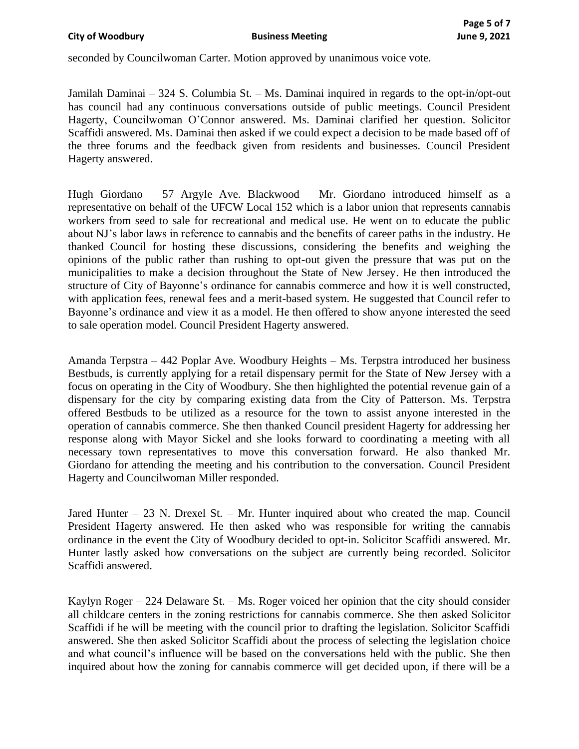seconded by Councilwoman Carter. Motion approved by unanimous voice vote.

Jamilah Daminai – 324 S. Columbia St. – Ms. Daminai inquired in regards to the opt-in/opt-out has council had any continuous conversations outside of public meetings. Council President Hagerty, Councilwoman O'Connor answered. Ms. Daminai clarified her question. Solicitor Scaffidi answered. Ms. Daminai then asked if we could expect a decision to be made based off of the three forums and the feedback given from residents and businesses. Council President Hagerty answered.

Hugh Giordano – 57 Argyle Ave. Blackwood – Mr. Giordano introduced himself as a representative on behalf of the UFCW Local 152 which is a labor union that represents cannabis workers from seed to sale for recreational and medical use. He went on to educate the public about NJ's labor laws in reference to cannabis and the benefits of career paths in the industry. He thanked Council for hosting these discussions, considering the benefits and weighing the opinions of the public rather than rushing to opt-out given the pressure that was put on the municipalities to make a decision throughout the State of New Jersey. He then introduced the structure of City of Bayonne's ordinance for cannabis commerce and how it is well constructed, with application fees, renewal fees and a merit-based system. He suggested that Council refer to Bayonne's ordinance and view it as a model. He then offered to show anyone interested the seed to sale operation model. Council President Hagerty answered.

Amanda Terpstra – 442 Poplar Ave. Woodbury Heights – Ms. Terpstra introduced her business Bestbuds, is currently applying for a retail dispensary permit for the State of New Jersey with a focus on operating in the City of Woodbury. She then highlighted the potential revenue gain of a dispensary for the city by comparing existing data from the City of Patterson. Ms. Terpstra offered Bestbuds to be utilized as a resource for the town to assist anyone interested in the operation of cannabis commerce. She then thanked Council president Hagerty for addressing her response along with Mayor Sickel and she looks forward to coordinating a meeting with all necessary town representatives to move this conversation forward. He also thanked Mr. Giordano for attending the meeting and his contribution to the conversation. Council President Hagerty and Councilwoman Miller responded.

Jared Hunter – 23 N. Drexel St. – Mr. Hunter inquired about who created the map. Council President Hagerty answered. He then asked who was responsible for writing the cannabis ordinance in the event the City of Woodbury decided to opt-in. Solicitor Scaffidi answered. Mr. Hunter lastly asked how conversations on the subject are currently being recorded. Solicitor Scaffidi answered.

Kaylyn Roger – 224 Delaware St. – Ms. Roger voiced her opinion that the city should consider all childcare centers in the zoning restrictions for cannabis commerce. She then asked Solicitor Scaffidi if he will be meeting with the council prior to drafting the legislation. Solicitor Scaffidi answered. She then asked Solicitor Scaffidi about the process of selecting the legislation choice and what council's influence will be based on the conversations held with the public. She then inquired about how the zoning for cannabis commerce will get decided upon, if there will be a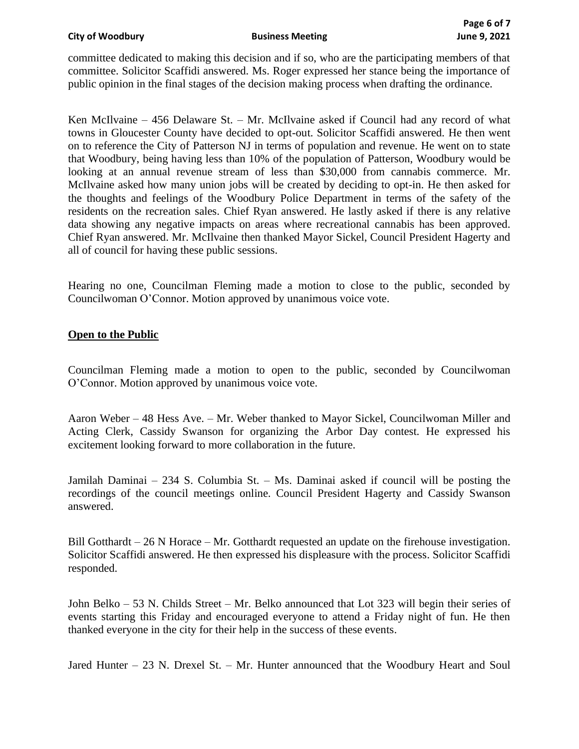#### **City of Woodbury Business Meeting June 9, 2021**

committee dedicated to making this decision and if so, who are the participating members of that committee. Solicitor Scaffidi answered. Ms. Roger expressed her stance being the importance of public opinion in the final stages of the decision making process when drafting the ordinance.

Ken McIlvaine – 456 Delaware St. – Mr. McIlvaine asked if Council had any record of what towns in Gloucester County have decided to opt-out. Solicitor Scaffidi answered. He then went on to reference the City of Patterson NJ in terms of population and revenue. He went on to state that Woodbury, being having less than 10% of the population of Patterson, Woodbury would be looking at an annual revenue stream of less than \$30,000 from cannabis commerce. Mr. McIlvaine asked how many union jobs will be created by deciding to opt-in. He then asked for the thoughts and feelings of the Woodbury Police Department in terms of the safety of the residents on the recreation sales. Chief Ryan answered. He lastly asked if there is any relative data showing any negative impacts on areas where recreational cannabis has been approved. Chief Ryan answered. Mr. McIlvaine then thanked Mayor Sickel, Council President Hagerty and all of council for having these public sessions.

Hearing no one, Councilman Fleming made a motion to close to the public, seconded by Councilwoman O'Connor. Motion approved by unanimous voice vote.

#### **Open to the Public**

Councilman Fleming made a motion to open to the public, seconded by Councilwoman O'Connor. Motion approved by unanimous voice vote.

Aaron Weber – 48 Hess Ave. – Mr. Weber thanked to Mayor Sickel, Councilwoman Miller and Acting Clerk, Cassidy Swanson for organizing the Arbor Day contest. He expressed his excitement looking forward to more collaboration in the future.

Jamilah Daminai – 234 S. Columbia St. – Ms. Daminai asked if council will be posting the recordings of the council meetings online. Council President Hagerty and Cassidy Swanson answered.

Bill Gotthardt  $-26$  N Horace  $-Mr$ . Gotthardt requested an update on the firehouse investigation. Solicitor Scaffidi answered. He then expressed his displeasure with the process. Solicitor Scaffidi responded.

John Belko – 53 N. Childs Street – Mr. Belko announced that Lot 323 will begin their series of events starting this Friday and encouraged everyone to attend a Friday night of fun. He then thanked everyone in the city for their help in the success of these events.

Jared Hunter – 23 N. Drexel St. – Mr. Hunter announced that the Woodbury Heart and Soul